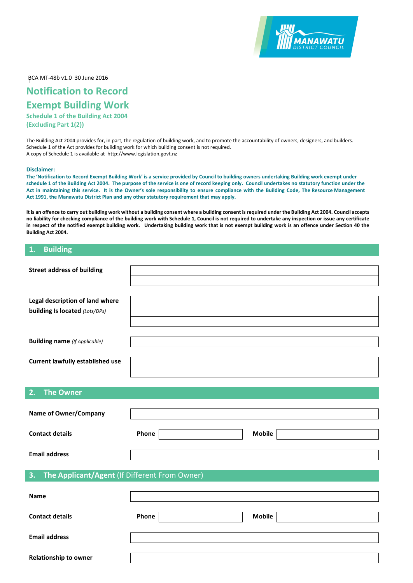

BCA MT-48b v1.0 30 June 2016

# **Notification to Record Exempt Building Work**

**Schedule 1 of the Building Act 2004 (Excluding Part 1(2))**

The Building Act 2004 provides for, in part, the regulation of building work, and to promote the accountability of owners, designers, and builders. Schedule 1 of the Act provides for building work for which building consent is not required. A copy of Schedule 1 is available at http://www.legislation.govt.nz

#### **Disclaimer:**

**The 'Notification to Record Exempt Building Work' is a service provided by Council to building owners undertaking Building work exempt under schedule 1 of the Building Act 2004. The purpose of the service is one of record keeping only. Council undertakes no statutory function under the Act in maintaining this service. It is the Owner's sole responsibility to ensure compliance with the Building Code, The Resource Management Act 1991, the Manawatu District Plan and any other statutory requirement that may apply.** 

It is an offence to carry out building work without a building consent where a building consent is required under the Building Act 2004. Council accepts **no liability for checking compliance of the building work with Schedule 1, Council is not required to undertake any inspection or issue any certificate in respect of the notified exempt building work. Undertaking building work that is not exempt building work is an offence under Section 40 the Building Act 2004.**

#### **1. Building**

| <b>Street address of building</b>                   |       |               |
|-----------------------------------------------------|-------|---------------|
|                                                     |       |               |
| Legal description of land where                     |       |               |
| building Is located (Lots/DPs)                      |       |               |
|                                                     |       |               |
|                                                     |       |               |
| <b>Building name</b> (If Applicable)                |       |               |
|                                                     |       |               |
| <b>Current lawfully established use</b>             |       |               |
|                                                     |       |               |
|                                                     |       |               |
| 2.<br><b>The Owner</b>                              |       |               |
|                                                     |       |               |
| <b>Name of Owner/Company</b>                        |       |               |
| <b>Contact details</b>                              |       |               |
|                                                     | Phone | <b>Mobile</b> |
| <b>Email address</b>                                |       |               |
|                                                     |       |               |
| The Applicant/Agent (If Different From Owner)<br>3. |       |               |
|                                                     |       |               |
| Name                                                |       |               |
|                                                     |       |               |
| <b>Contact details</b>                              | Phone | <b>Mobile</b> |
|                                                     |       |               |
| <b>Email address</b>                                |       |               |
|                                                     |       |               |
| Relationship to owner                               |       |               |